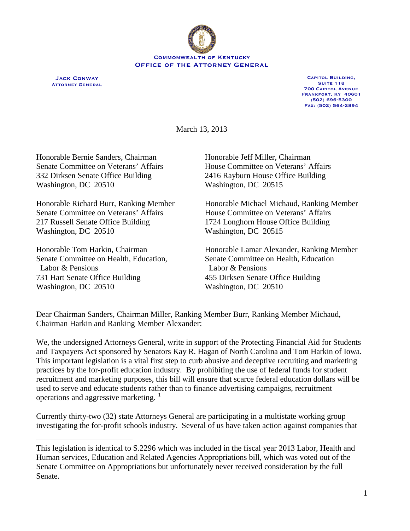

**Jack Conway Attorney General**

**Capitol Building, Suite 118 700 Capitol Avenue Frankfort, KY 40601 (502) 696-5300 Fax: (502) 564-2894**

March 13, 2013

Honorable Bernie Sanders, Chairman Honorable Jeff Miller, Chairman 332 Dirksen Senate Office Building 2416 Rayburn House Office Building Washington, DC 20510 Washington, DC 20515

Senate Committee on Veterans' Affairs House Committee on Veterans' Affairs 217 Russell Senate Office Building 1724 Longhorn House Office Building Washington, DC 20510 Washington, DC 20515

Senate Committee on Health, Education, Senate Committee on Health, Education Labor & Pensions Labor & Pensions 731 Hart Senate Office Building 455 Dirksen Senate Office Building Washington, DC 20510 Washington, DC 20510

 $\overline{a}$ 

Senate Committee on Veterans' Affairs House Committee on Veterans' Affairs

Honorable Richard Burr, Ranking Member Honorable Michael Michaud, Ranking Member

Honorable Tom Harkin, Chairman Honorable Lamar Alexander, Ranking Member

Dear Chairman Sanders, Chairman Miller, Ranking Member Burr, Ranking Member Michaud, Chairman Harkin and Ranking Member Alexander:

We, the undersigned Attorneys General, write in support of the Protecting Financial Aid for Students and Taxpayers Act sponsored by Senators Kay R. Hagan of North Carolina and Tom Harkin of Iowa. This important legislation is a vital first step to curb abusive and deceptive recruiting and marketing practices by the for-profit education industry. By prohibiting the use of federal funds for student recruitment and marketing purposes, this bill will ensure that scarce federal education dollars will be used to serve and educate students rather than to finance advertising campaigns, recruitment operations and aggressive marketing.  $\frac{1}{1}$  $\frac{1}{1}$  $\frac{1}{1}$ 

Currently thirty-two (32) state Attorneys General are participating in a multistate working group investigating the for-profit schools industry. Several of us have taken action against companies that

<span id="page-0-0"></span>This legislation is identical to S.2296 which was included in the fiscal year 2013 Labor, Health and Human services, Education and Related Agencies Appropriations bill, which was voted out of the Senate Committee on Appropriations but unfortunately never received consideration by the full Senate.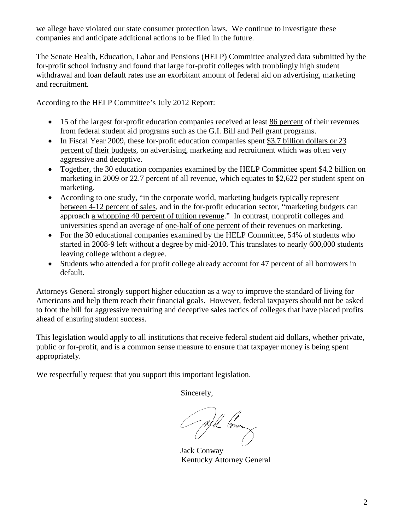we allege have violated our state consumer protection laws. We continue to investigate these companies and anticipate additional actions to be filed in the future.

The Senate Health, Education, Labor and Pensions (HELP) Committee analyzed data submitted by the for-profit school industry and found that large for-profit colleges with troublingly high student withdrawal and loan default rates use an exorbitant amount of federal aid on advertising, marketing and recruitment.

According to the HELP Committee's July 2012 Report:

- 15 of the largest for-profit education companies received at least 86 percent of their revenues from federal student aid programs such as the G.I. Bill and Pell grant programs.
- In Fiscal Year 2009, these for-profit education companies spent \$3.7 billion dollars or 23 percent of their budgets, on advertising, marketing and recruitment which was often very aggressive and deceptive.
- Together, the 30 education companies examined by the HELP Committee spent \$4.2 billion on marketing in 2009 or 22.7 percent of all revenue, which equates to \$2,622 per student spent on marketing.
- According to one study, "in the corporate world, marketing budgets typically represent between 4-12 percent of sales, and in the for-profit education sector, "marketing budgets can approach a whopping 40 percent of tuition revenue." In contrast, nonprofit colleges and universities spend an average of one-half of one percent of their revenues on marketing.
- For the 30 educational companies examined by the HELP Committee, 54% of students who started in 2008-9 left without a degree by mid-2010. This translates to nearly 600,000 students leaving college without a degree.
- Students who attended a for profit college already account for 47 percent of all borrowers in default.

Attorneys General strongly support higher education as a way to improve the standard of living for Americans and help them reach their financial goals. However, federal taxpayers should not be asked to foot the bill for aggressive recruiting and deceptive sales tactics of colleges that have placed profits ahead of ensuring student success.

This legislation would apply to all institutions that receive federal student aid dollars, whether private, public or for-profit, and is a common sense measure to ensure that taxpayer money is being spent appropriately.

We respectfully request that you support this important legislation.

Sincerely,

Gall Grund

Jack Conway Kentucky Attorney General